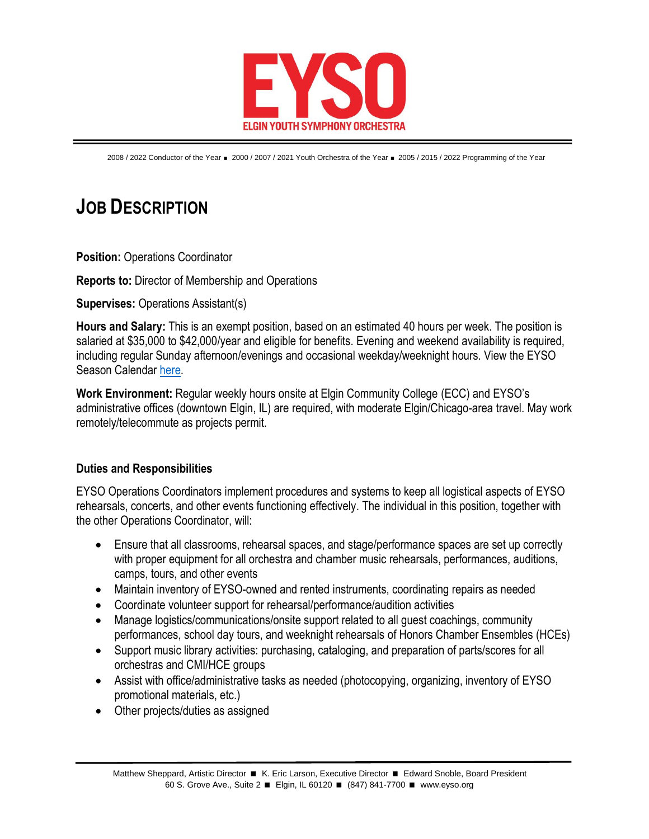

2008 / 2022 Conductor of the Year = 2000 / 2007 / 2021 Youth Orchestra of the Year = 2005 / 2015 / 2022 Programming of the Year

## **JOB DESCRIPTION**

**Position: Operations Coordinator** 

**Reports to:** Director of Membership and Operations

**Supervises:** Operations Assistant(s)

**Hours and Salary:** This is an exempt position, based on an estimated 40 hours per week. The position is salaried at \$35,000 to \$42,000/year and eligible for benefits. Evening and weekend availability is required, including regular Sunday afternoon/evenings and occasional weekday/weeknight hours. View the EYSO Season Calendar [here.](https://www.eyso.org/wp-content/uploads/2022/05/2022-23-EYSO-Season-Calendar-rev.-05-16-2022.pdf)

**Work Environment:** Regular weekly hours onsite at Elgin Community College (ECC) and EYSO's administrative offices (downtown Elgin, IL) are required, with moderate Elgin/Chicago-area travel. May work remotely/telecommute as projects permit.

## **Duties and Responsibilities**

EYSO Operations Coordinators implement procedures and systems to keep all logistical aspects of EYSO rehearsals, concerts, and other events functioning effectively. The individual in this position, together with the other Operations Coordinator, will:

- Ensure that all classrooms, rehearsal spaces, and stage/performance spaces are set up correctly with proper equipment for all orchestra and chamber music rehearsals, performances, auditions, camps, tours, and other events
- Maintain inventory of EYSO-owned and rented instruments, coordinating repairs as needed
- Coordinate volunteer support for rehearsal/performance/audition activities
- Manage logistics/communications/onsite support related to all quest coachings, community performances, school day tours, and weeknight rehearsals of Honors Chamber Ensembles (HCEs)
- Support music library activities: purchasing, cataloging, and preparation of parts/scores for all orchestras and CMI/HCE groups
- Assist with office/administrative tasks as needed (photocopying, organizing, inventory of EYSO promotional materials, etc.)
- Other projects/duties as assigned